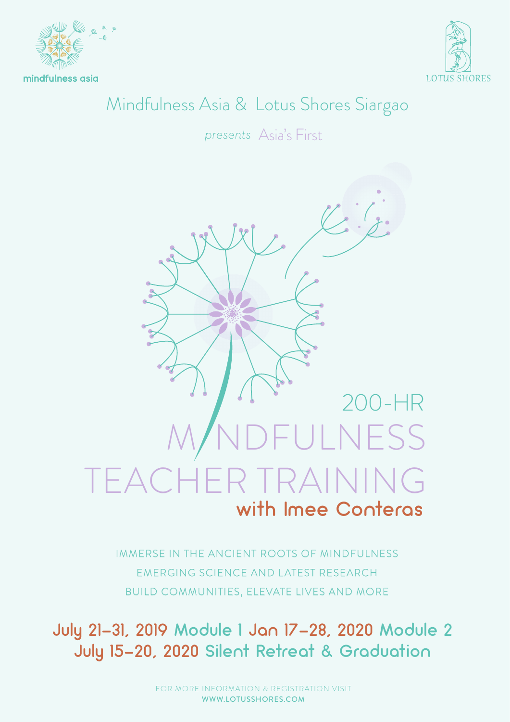

mindfulness asia



## Mindfulness Asia & Lotus Shores Siargao

Asia's First *presents*



IMMERSE IN THE ANCIENT ROOTS OF MINDFULNESS EMERGING SCIENCE AND LATEST RESEARCH BUILD COMMUNITIES, ELEVATE LIVES AND MORE

July 21-31, 2019 Module 1 Jan 17-28, 2020 Module 2 July 15-20, 2020 Silent Retreat & Graduation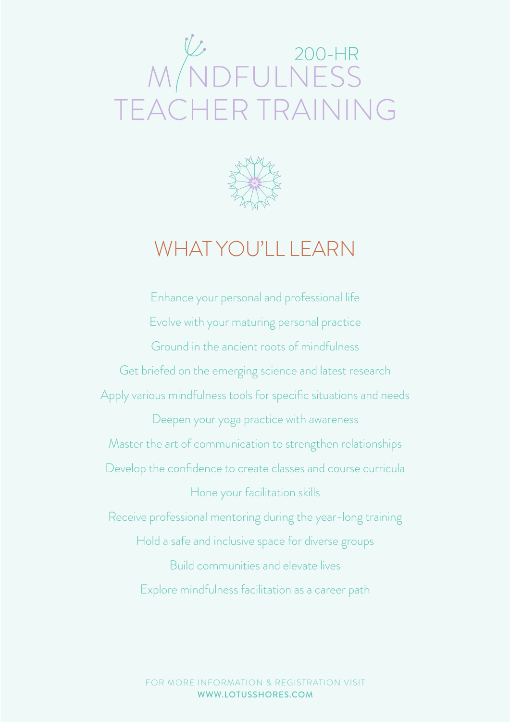# W/NDFULNESS TEACHER TRAINING



# WHAT YOU'LL LEARN

Enhance your personal and professional life Evolve with your maturing personal practice Ground in the ancient roots of mindfulness Get briefed on the emerging science and latest research Apply various mindfulness tools for specific situations and needs Deepen your yoga practice with awareness Master the art of communication to strengthen relationships Develop the confidence to create classes and course curricula Hone your facilitation skills Receive professional mentoring during the year-long training Hold a safe and inclusive space for diverse groups Build communities and elevate lives Explore mindfulness facilitation as a career path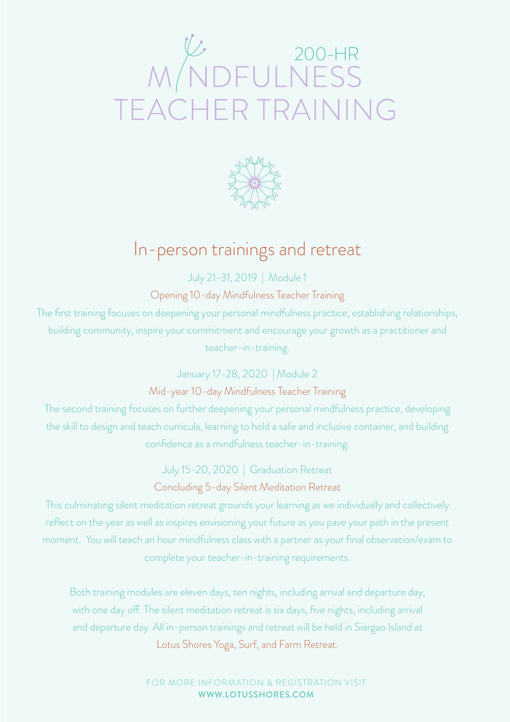# W 200-HR<br>M NDFULNESS<br>TEACHER TRAINING



### In-person trainings and retreat

July 21-31, 2019 | Module 1

Opening 10-day Mindfulness Teacher Training

The first training focuses on deepening your personal mindfulness practice, establishing relationships, building community, inspire your commitment and encourage your growth as a practitioner and teacher-in-training.

> January 17-28, 2020 | Module 2 Mid-year 10-day Mindfulness Teacher Training

The second training focuses on further deepening your personal mindfulness practice, developing the skill to design and teach curricula, learning to hold a safe and inclusive container, and building confidence as a mindfulness teacher-in-training.

July 15-20, 2020 | Graduation Retreat

Concluding 5-day Silent Meditation Retreat

This culminating silent meditation retreat grounds your learning as we individually and collectively reflect on the year as well as inspires envisioning your future as you pave your path in the present moment. You will teach an hour mindfulness class with a partner as your final observation/exam to complete your teacher-in-training requirements.

Both training modules are eleven days, ten nights, including arrival and departure day, with one day off. The silent meditation retreat is six days, five nights, including arrival and departure day. All in-person trainings and retreat will be held in Siargao Island at Lotus Shores Yoga, Surf, and Farm Retreat.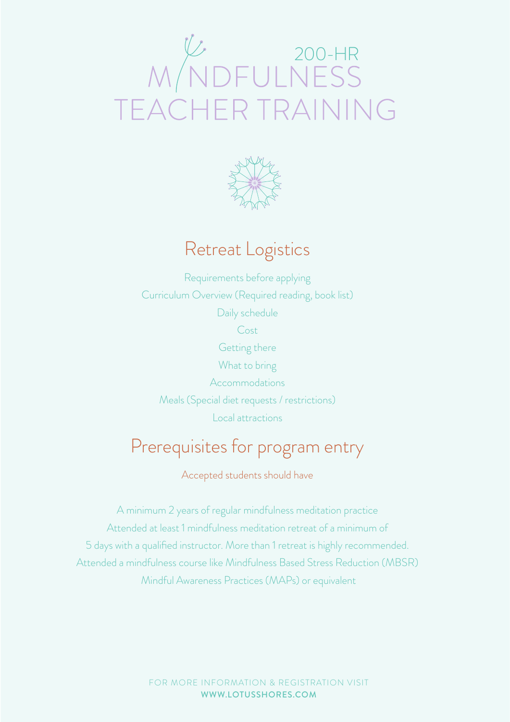# W 200-HR<br>MDFULNESS R TRAINING



# Retreat Logistics

Requirements before applying Curriculum Overview (Required reading, book list) Daily schedule Cost Getting there What to bring Accommodations Meals (Special diet requests / restrictions) Local attractions

## Prerequisites for program entry

Accepted students should have

A minimum 2 years of regular mindfulness meditation practice Attended at least 1 mindfulness meditation retreat of a minimum of 5 days with a qualified instructor. More than 1 retreat is highly recommended. Attended a mindfulness course like Mindfulness Based Stress Reduction (MBSR) Mindful Awareness Practices (MAPs) or equivalent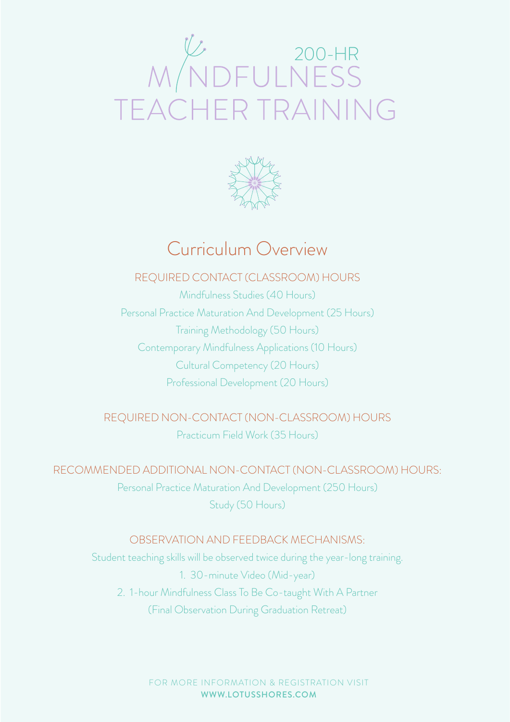# WNDFULNESS TEACHER TRAINING



## Curriculum Overview

#### REQUIRED CONTACT (CLASSROOM) HOURS

Mindfulness Studies (40 Hours) Personal Practice Maturation And Development (25 Hours) Training Methodology (50 Hours) Contemporary Mindfulness Applications (10 Hours) Cultural Competency (20 Hours) Professional Development (20 Hours)

REQUIRED NON-CONTACT (NON-CLASSROOM) HOURS Practicum Field Work (35 Hours)

RECOMMENDED ADDITIONAL NON-CONTACT (NON-CLASSROOM) HOURS: Personal Practice Maturation And Development (250 Hours) Study (50 Hours)

#### OBSERVATION AND FEEDBACK MECHANISMS:

Student teaching skills will be observed twice during the year-long training. 1. 30-minute Video (Mid-year) 2. 1-hour Mindfulness Class To Be Co-taught With A Partner (Final Observation During Graduation Retreat)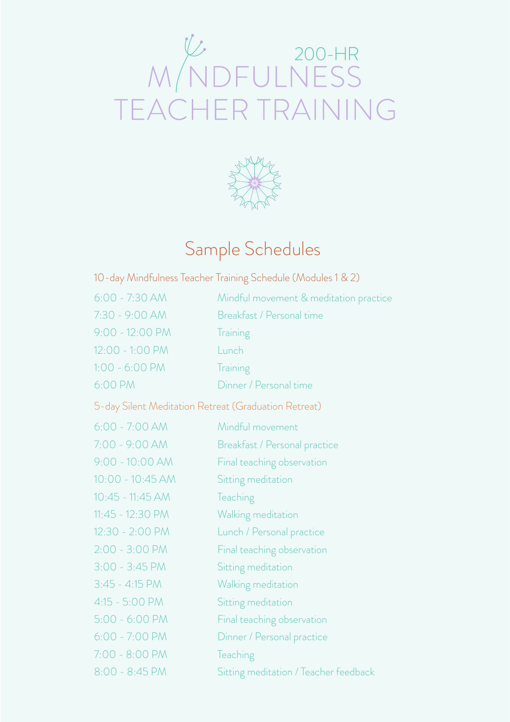# W 200-HR<br>M NDFULNESS<br>TEACHER TRAINING



# Sample Schedules

| 10-day Mindfulness Teacher Training Schedule (Modules 1 & 2) |  |  |  |
|--------------------------------------------------------------|--|--|--|
|                                                              |  |  |  |

| $6:00 - 7:30$ AM                                     | Mindful movement & meditation practice |
|------------------------------------------------------|----------------------------------------|
| 7:30 - 9:00 AM                                       | Breakfast / Personal time              |
| $9:00 - 12:00 P M$                                   | Training                               |
| 12:00 - 1:00 PM                                      | Lunch                                  |
| $1:00 - 6:00 PM$                                     | Training                               |
| 6:00 PM                                              | Dinner / Personal time                 |
| 5-day Silent Meditation Retreat (Graduation Retreat) |                                        |
| $6:00 - 7:00 AM$                                     | Mindful movement                       |
| 7:00 - 9:00 AM                                       | Breakfast / Personal practice          |
| $9:00 - 10:00$ AM                                    | Final teaching observation             |
| $10:00 - 10:45 AM$                                   | Sitting meditation                     |
| 10:45 - 11:45 AM                                     | Teaching                               |
| 11:45 - 12:30 PM                                     | Walking meditation                     |
| 12:30 - 2:00 PM                                      | Lunch / Personal practice              |
| $2:00 - 3:00 P M$                                    | Final teaching observation             |
| $3:00 - 3:45 PM$                                     | Sitting meditation                     |
| $3:45 - 4:15 PM$                                     | Walking meditation                     |
| $4:15 - 5:00 P M$                                    | Sitting meditation                     |
| $5:00 - 6:00 PM$                                     | Final teaching observation             |
| $6:00 - 7:00 P M$                                    | Dinner / Personal practice             |
| 7:00 - 8:00 PM                                       | Teaching                               |
| 8:00 - 8:45 PM                                       | Sitting meditation / Teacher feedback  |